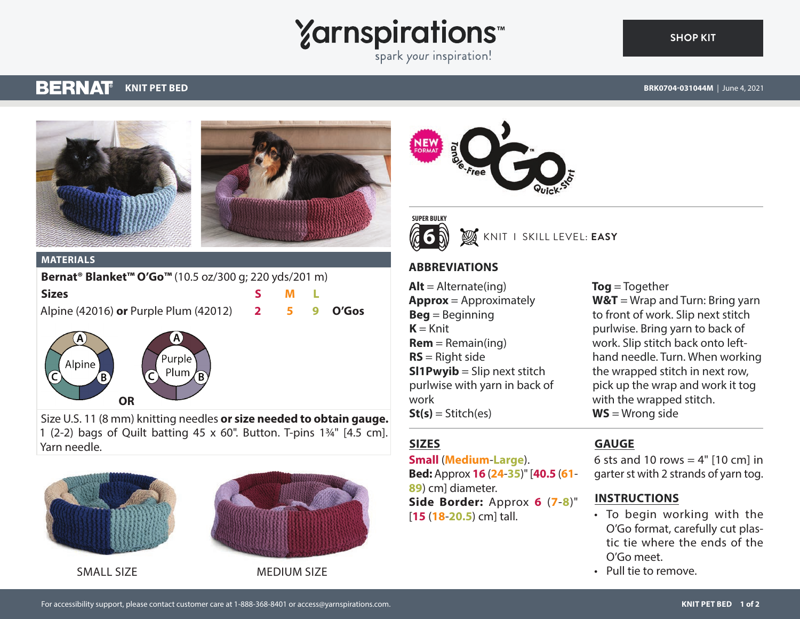# **Yarnspirations**

spark your inspiration!

**SUPER BULKY 6**

#### **BERNAT KNIT PET BED**

**[SHOP KIT](https://www.yarnspirations.com/BRK0704-031044M.html#utm_source=pdf-yarnspirations&utm_medium=referral)**





#### **MATERIALS**

Alpine

| Bernat <sup>®</sup> Blanket <sup>™</sup> O'Go <sup>™</sup> (10.5 oz/300 g; 220 yds/201 m) |  |     |  |  |
|-------------------------------------------------------------------------------------------|--|-----|--|--|
| <b>Sizes</b>                                                                              |  | M I |  |  |
| Alpine (42016) or Purple Plum (42012) 2 5 9 O'Gos                                         |  |     |  |  |
|                                                                                           |  |     |  |  |

urple

Plum

Size U.S. 11 (8 mm) knitting needles **or size needed to obtain gauge.** 1 (2-2) bags of Quilt batting 45 x 60". Button. T-pins 1¾" [4.5 cm]. Yarn needle.



**OR**



#### SMALL SIZE MEDIUM SIZE

**Beg** = Beginning  $K = Knit$  $Rem = Remain(ing)$ **RS** = Right side

KNIT I SKILL LEVEL: **EASY**

**ABBREVIATIONS**

 $Alt =$  Alternate(ing)

**Approx** = Approximately

**Sl1Pwyib** = Slip next stitch purlwise with yarn in back of work  $St(s) = Stitch(es)$ 

#### **Tog** = Together **W&T** = Wrap and Turn: Bring yarn to front of work. Slip next stitch purlwise. Bring yarn to back of work. Slip stitch back onto lefthand needle. Turn. When working the wrapped stitch in next row, pick up the wrap and work it tog with the wrapped stitch. **WS** = Wrong side

### **SIZES**

#### **Small** (**Medium**-**Large**).

**Bed:** Approx **16** (**24**-**35**)" [**40.5** (**61**- **89**) cm] diameter. **Side Border:** Approx **6** (**7**-**8**)" [**15** (**18**-**20.5**) cm] tall.

#### **GAUGE**

6 sts and 10 rows  $=$  4"  $[10 \text{ cm}]$  in garter st with 2 strands of yarn tog.

#### **INSTRUCTIONS**

- To begin working with the O'Go format, carefully cut plastic tie where the ends of the O'Go meet.
- Pull tie to remove.